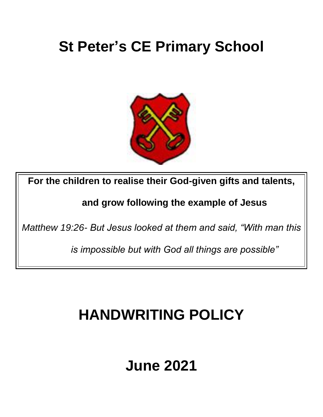# **St Peter's CE Primary School**



**For the children to realise their God-given gifts and talents,** 

**and grow following the example of Jesus** 

*Matthew 19:26- But Jesus looked at them and said, "With man this* 

*is impossible but with God all things are possible"*

## **HANDWRITING POLICY**

## **June 2021**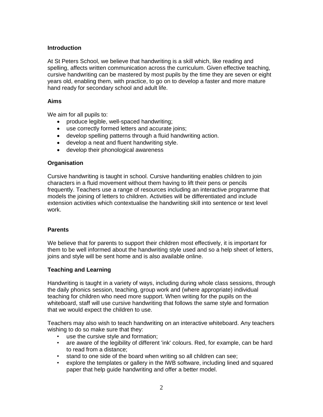#### **Introduction**

At St Peters School, we believe that handwriting is a skill which, like reading and spelling, affects written communication across the curriculum. Given effective teaching, cursive handwriting can be mastered by most pupils by the time they are seven or eight years old, enabling them, with practice, to go on to develop a faster and more mature hand ready for secondary school and adult life.

#### **Aims**

We aim for all pupils to:

- produce legible, well-spaced handwriting;
- use correctly formed letters and accurate joins;
- develop spelling patterns through a fluid handwriting action.
- develop a neat and fluent handwriting style.
- develop their phonological awareness

#### **Organisation**

Cursive handwriting is taught in school. Cursive handwriting enables children to join characters in a fluid movement without them having to lift their pens or pencils frequently. Teachers use a range of resources including an interactive programme that models the joining of letters to children. Activities will be differentiated and include extension activities which contextualise the handwriting skill into sentence or text level work.

#### **Parents**

We believe that for parents to support their children most effectively, it is important for them to be well informed about the handwriting style used and so a help sheet of letters, joins and style will be sent home and is also available online.

## **Teaching and Learning**

Handwriting is taught in a variety of ways, including during whole class sessions, through the daily phonics session, teaching, group work and (where appropriate) individual teaching for children who need more support. When writing for the pupils on the whiteboard, staff will use cursive handwriting that follows the same style and formation that we would expect the children to use.

Teachers may also wish to teach handwriting on an interactive whiteboard. Any teachers wishing to do so make sure that they:

- use the cursive style and formation;
- are aware of the legibility of different 'ink' colours. Red, for example, can be hard to read from a distance;
- stand to one side of the board when writing so all children can see;
- explore the templates or gallery in the IWB software, including lined and squared paper that help guide handwriting and offer a better model.